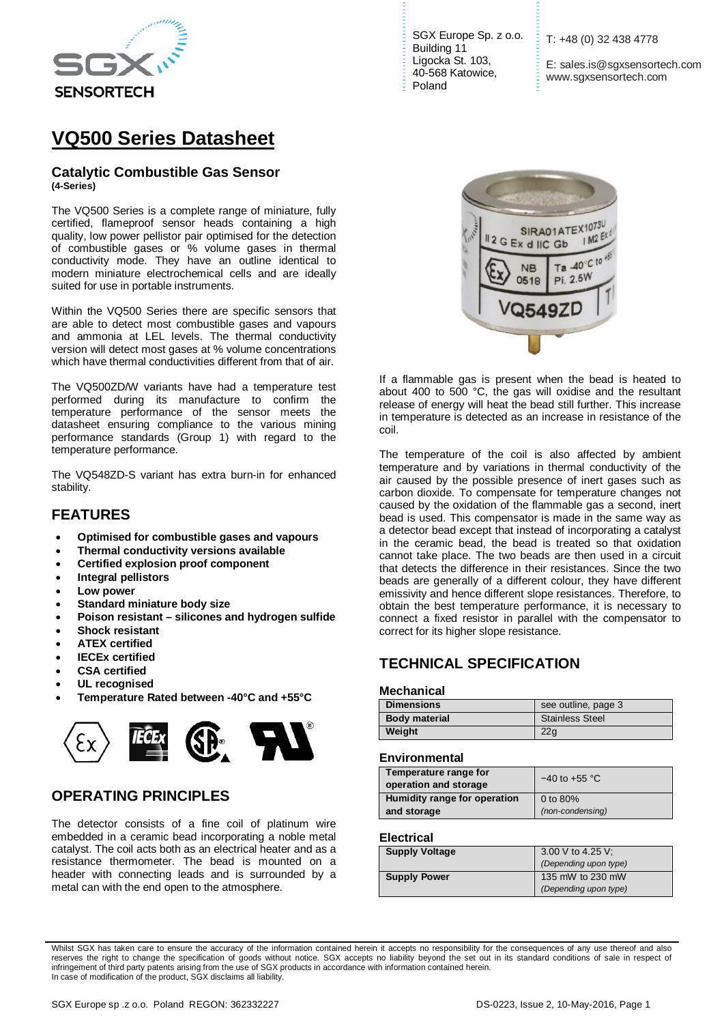

# **VQ500 Series Datasheet**

#### **Catalytic Combustible Gas Sensor (4-Series)**

The VQ500 Series is a complete range of miniature, fully certified, flameproof sensor heads containing a high quality, low power pellistor pair optimised for the detection of combustible gases or % volume gases in thermal conductivity mode. They have an outline identical to modern miniature electrochemical cells and are ideally suited for use in portable instruments.

Within the VQ500 Series there are specific sensors that are able to detect most combustible gases and vapours and ammonia at LEL levels. The thermal conductivity version will detect most gases at % volume concentrations which have thermal conductivities different from that of air.

The VQ500ZD/W variants have had a temperature test performed during its manufacture to confirm the temperature performance of the sensor meets the datasheet ensuring compliance to the various mining performance standards (Group 1) with regard to the temperature performance.

The VQ548ZD-S variant has extra burn-in for enhanced stability.

### **FEATURES**

- **Optimised for combustible gases and vapours**
- **Thermal conductivity versions available**
- **Certified explosion proof component**
- **Integral pellistors**
- **Low power**
- **Standard miniature body size**
- **Poison resistant – silicones and hydrogen sulfide**
- **Shock resistant**
- **ATEX certified**
- **IECEx certified**
- **CSA certified**
- **UL recognised**
- **Temperature Rated between -40°C and +55°C**



### **OPERATING PRINCIPLES**

The detector consists of a fine coil of platinum wire embedded in a ceramic bead incorporating a noble metal catalyst. The coil acts both as an electrical heater and as a resistance thermometer. The bead is mounted on a header with connecting leads and is surrounded by a metal can with the end open to the atmosphere.

SGX Europe Sp. z o.o. Building 11 Ligocka St. 103, 40-568 Katowice, Poland

T: +48 (0) 32 438 4778

E: sales.is@sgxsensortech.com www.sgxsensortech.com



If a flammable gas is present when the bead is heated to about 400 to 500 °C, the gas will oxidise and the resultant release of energy will heat the bead still further. This increase in temperature is detected as an increase in resistance of the coil.

The temperature of the coil is also affected by ambient temperature and by variations in thermal conductivity of the air caused by the possible presence of inert gases such as carbon dioxide. To compensate for temperature changes not caused by the oxidation of the flammable gas a second, inert bead is used. This compensator is made in the same way as a detector bead except that instead of incorporating a catalyst in the ceramic bead, the bead is treated so that oxidation cannot take place. The two beads are then used in a circuit that detects the difference in their resistances. Since the two beads are generally of a different colour, they have different emissivity and hence different slope resistances. Therefore, to obtain the best temperature performance, it is necessary to connect a fixed resistor in parallel with the compensator to correct for its higher slope resistance.

### **TECHNICAL SPECIFICATION**

#### **Mechanical**

| <b>Dimensions</b>    | see outline, page 3    |
|----------------------|------------------------|
| <b>Body material</b> | <b>Stainless Steel</b> |
| Weight               | 22 <sub>a</sub>        |

#### **Environmental**

| Temperature range for        | $-40$ to $+55$ °C |  |
|------------------------------|-------------------|--|
| operation and storage        |                   |  |
| Humidity range for operation | 0 to 80%          |  |
| and storage                  | (non-condensing)  |  |

#### **Electrical**

| <b>Supply Voltage</b> | 3.00 V to 4.25 V;<br>(Depending upon type) |  |
|-----------------------|--------------------------------------------|--|
| <b>Supply Power</b>   | 135 mW to 230 mW<br>(Depending upon type)  |  |

Whilst SGX has taken care to ensure the accuracy of the information contained herein it accepts no responsibility for the consequences of any use thereof and also reserves the right to change the specification of goods without notice. SGX accepts no liability beyond the set out in its standard conditions of sale in respect of infringement of third party patents arising from the use of SGX products in accordance with information contained herein. In case of modification of the product, SGX disclaims all liability.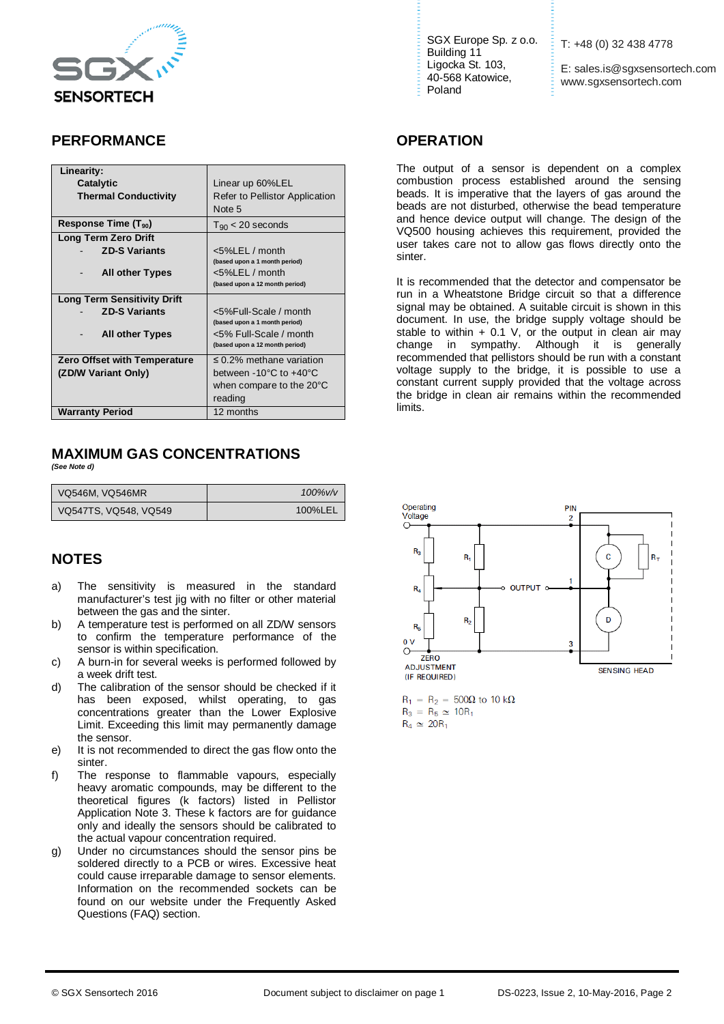

## **PERFORMANCE**

| Linearity:                          |                                            |
|-------------------------------------|--------------------------------------------|
| <b>Catalytic</b>                    | Linear up 60%LEL                           |
| <b>Thermal Conductivity</b>         | Refer to Pellistor Application             |
|                                     | Note 5                                     |
| Response Time $(T_{90})$            | $T_{90}$ < 20 seconds                      |
| <b>Long Term Zero Drift</b>         |                                            |
| <b>ZD-S Variants</b>                | $<$ 5%LEL / month                          |
|                                     | (based upon a 1 month period)              |
| <b>All other Types</b>              | $<$ 5%LEL / month                          |
|                                     | (based upon a 12 month period)             |
| <b>Long Term Sensitivity Drift</b>  |                                            |
| <b>ZD-S Variants</b>                | <5%Full-Scale / month                      |
|                                     | (based upon a 1 month period)              |
| <b>All other Types</b>              | <5% Full-Scale / month                     |
|                                     | (based upon a 12 month period)             |
| <b>Zero Offset with Temperature</b> | $\leq$ 0.2% methane variation              |
| (ZD/W Variant Only)                 | between $-10^{\circ}$ C to $+40^{\circ}$ C |
|                                     | when compare to the 20°C                   |
|                                     | reading                                    |
| <b>Warranty Period</b>              | 12 months                                  |

#### **MAXIMUM GAS CONCENTRATIONS** *(See Note d)*

| <b>VQ546M, VQ546MR</b> | $100\%$ v/v |
|------------------------|-------------|
| VQ547TS, VQ548, VQ549  | 100%LEL     |

# **NOTES**

- a) The sensitivity is measured in the standard manufacturer's test jig with no filter or other material between the gas and the sinter.
- b) A temperature test is performed on all ZD/W sensors to confirm the temperature performance of the sensor is within specification.
- c) A burn-in for several weeks is performed followed by a week drift test.
- d) The calibration of the sensor should be checked if it has been exposed, whilst operating, to gas concentrations greater than the Lower Explosive Limit. Exceeding this limit may permanently damage the sensor.
- e) It is not recommended to direct the gas flow onto the sinter.
- f) The response to flammable vapours, especially heavy aromatic compounds, may be different to the theoretical figures (k factors) listed in Pellistor Application Note 3. These k factors are for guidance only and ideally the sensors should be calibrated to the actual vapour concentration required.
- g) Under no circumstances should the sensor pins be soldered directly to a PCB or wires. Excessive heat could cause irreparable damage to sensor elements. Information on the recommended sockets can be found on our website under the Frequently Asked Questions (FAQ) section.

SGX Europe Sp. z o.o. Building 11 Ligocka St. 103, 40-568 Katowice, Poland

T: +48 (0) 32 438 4778

E: sales.is@sgxsensortech.com www.sgxsensortech.com

#### **OPERATION**

The output of a sensor is dependent on a complex combustion process established around the sensing beads. It is imperative that the layers of gas around the beads are not disturbed, otherwise the bead temperature and hence device output will change. The design of the VQ500 housing achieves this requirement, provided the user takes care not to allow gas flows directly onto the sinter.

It is recommended that the detector and compensator be run in a Wheatstone Bridge circuit so that a difference signal may be obtained. A suitable circuit is shown in this document. In use, the bridge supply voltage should be stable to within  $+$  0.1 V, or the output in clean air may change in sympathy. Although it is generally Although it is generally recommended that pellistors should be run with a constant voltage supply to the bridge, it is possible to use a constant current supply provided that the voltage across the bridge in clean air remains within the recommended limits.



 $R_1 = R_2 = 500\Omega$  to 10 k $\Omega$  $R_3 = R_5 \simeq 10R_1$  $R_4 \simeq 20R_1$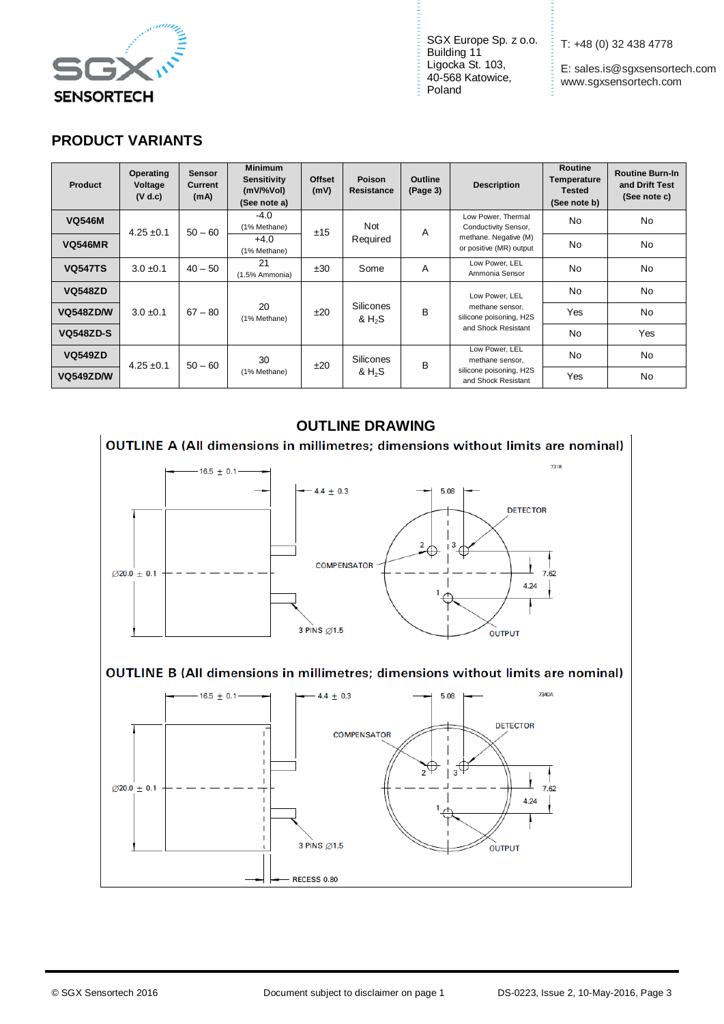

SGX Europe Sp. z o.o.  $\frac{1}{2}$ Building 11 Ligocka St. 103, 40-568 Katowice, Poland

T: +48 (0) 32 438 4778

E: sales.is@sgxsensortech.com www.sgxsensortech.com

# **PRODUCT VARIANTS**

| <b>Product</b>   | Operating<br>Voltage<br>(V d.c) | <b>Sensor</b><br>Current<br>(mA) | <b>Minimum</b><br><b>Sensitivity</b><br>$(mV\%Vol)$<br>(See note a) | <b>Offset</b><br>(mV) | <b>Poison</b><br>Resistance                      | <b>Outline</b><br>(Page 3) | <b>Description</b>                             | Routine<br>Temperature<br>Tested<br>(See note b) | <b>Routine Burn-In</b><br>and Drift Test<br>(See note c) |
|------------------|---------------------------------|----------------------------------|---------------------------------------------------------------------|-----------------------|--------------------------------------------------|----------------------------|------------------------------------------------|--------------------------------------------------|----------------------------------------------------------|
| <b>VQ546M</b>    | $4.25 \pm 0.1$                  | $50 - 60$                        | $-4.0$<br>(1% Methane)                                              | ±15                   | Not                                              | A                          | Low Power, Thermal<br>Conductivity Sensor,     | <b>No</b>                                        | No                                                       |
| <b>VQ546MR</b>   |                                 |                                  | Required<br>$+4.0$<br>(1% Methane)                                  |                       | methane. Negative (M)<br>or positive (MR) output | N <sub>0</sub>             | No                                             |                                                  |                                                          |
| <b>VQ547TS</b>   | $3.0 \pm 0.1$                   | $40 - 50$                        | 21<br>(1.5% Ammonia)                                                | ±30                   | Some                                             | A                          | Low Power, LEL<br>Ammonia Sensor               | <b>No</b>                                        | No                                                       |
| <b>VQ548ZD</b>   |                                 |                                  |                                                                     |                       |                                                  |                            | Low Power, LEL                                 | <b>No</b>                                        | No                                                       |
| <b>VQ548ZD/W</b> | $3.0 \pm 0.1$                   | $67 - 80$                        | 20<br>(1% Methane)                                                  | ±20                   | Silicones<br>& H <sub>2</sub> S                  | <sub>B</sub>               | methane sensor,<br>silicone poisoning, H2S     | Yes                                              | No                                                       |
| <b>VQ548ZD-S</b> |                                 |                                  |                                                                     |                       |                                                  |                            | and Shock Resistant                            | <b>No</b>                                        | Yes                                                      |
| <b>VQ549ZD</b>   | $4.25 \pm 0.1$                  | $50 - 60$                        | 30                                                                  | ±20                   | <b>Silicones</b>                                 | B                          | Low Power, LEL<br>methane sensor,              | N <sub>o</sub>                                   | No                                                       |
| VQ549ZD/W        |                                 |                                  | (1% Methane)                                                        |                       | & $H_2S$                                         |                            | silicone poisoning, H2S<br>and Shock Resistant | Yes                                              | No                                                       |

## **OUTLINE DRAWING**



### OUTLINE B (All dimensions in millimetres; dimensions without limits are nominal)